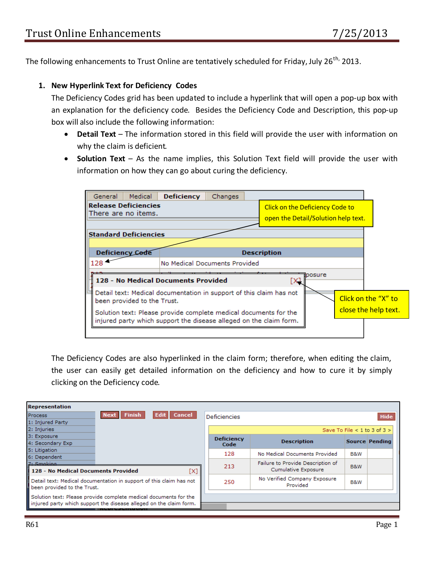The following enhancements to Trust Online are tentatively scheduled for Friday, July 26<sup>th,</sup> 2013.

## **1. New Hyperlink Text for Deficiency Codes**

The Deficiency Codes grid has been updated to include a hyperlink that will open a pop-up box with an explanation for the deficiency code. Besides the Deficiency Code and Description, this pop-up box will also include the following information:

- **Detail Text** The information stored in this field will provide the user with information on why the claim is deficient.
- **Solution Text** As the name implies, this Solution Text field will provide the user with information on how they can go about curing the deficiency.



The Deficiency Codes are also hyperlinked in the claim form; therefore, when editing the claim, the user can easily get detailed information on the deficiency and how to cure it by simply clicking on the Deficiency code.

| <b>Representation</b>                                                                                                                  |                              |                                                          |     |                |  |  |  |
|----------------------------------------------------------------------------------------------------------------------------------------|------------------------------|----------------------------------------------------------|-----|----------------|--|--|--|
| <b>Finish</b><br>Cancel<br><b>Next</b><br>Process<br>l Edit                                                                            | <b>Deficiencies</b>          |                                                          |     | Hide           |  |  |  |
| 1: Injured Party                                                                                                                       |                              |                                                          |     |                |  |  |  |
| 2: Injuries                                                                                                                            | Save To File < 1 to 3 of 3 > |                                                          |     |                |  |  |  |
| 3: Exposure<br>4: Secondary Exp                                                                                                        | <b>Deficiency</b><br>Code    | <b>Description</b>                                       |     | Source Pending |  |  |  |
| 5: Litigation<br>6: Dependent                                                                                                          | 128                          | No Medical Documents Provided                            | B&W |                |  |  |  |
| 7: Smoking<br>128 - No Medical Documents Provided<br>[X]                                                                               | 213                          | Failure to Provide Description of<br>Cumulative Exposure | B&W |                |  |  |  |
| Detail text: Medical documentation in support of this claim has not<br>been provided to the Trust.                                     | 250                          | No Verified Company Exposure<br>Provided                 | B&W |                |  |  |  |
| Solution text: Please provide complete medical documents for the<br>injured party which support the disease alleged on the claim form. |                              |                                                          |     |                |  |  |  |